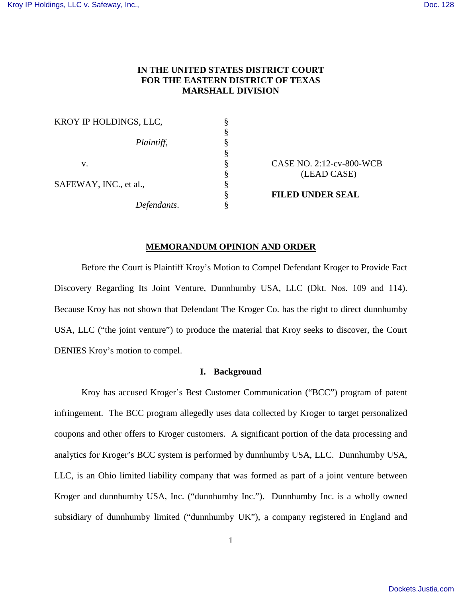## **IN THE UNITED STATES DISTRICT COURT FOR THE EASTERN DISTRICT OF TEXAS MARSHALL DIVISION**

| KROY IP HOLDINGS, LLC, |                          |
|------------------------|--------------------------|
|                        |                          |
| Plaintiff,             |                          |
|                        |                          |
| v.                     | CASE NO. 2:12-cv-800-WCB |
|                        | (LEAD CASE)              |
| SAFEWAY, INC., et al., |                          |
|                        | <b>FILED UNDER SEAL</b>  |
| Defendants.            |                          |
|                        |                          |

## **MEMORANDUM OPINION AND ORDER**

Before the Court is Plaintiff Kroy's Motion to Compel Defendant Kroger to Provide Fact Discovery Regarding Its Joint Venture, Dunnhumby USA, LLC (Dkt. Nos. 109 and 114). Because Kroy has not shown that Defendant The Kroger Co. has the right to direct dunnhumby USA, LLC ("the joint venture") to produce the material that Kroy seeks to discover, the Court DENIES Kroy's motion to compel.

## **I. Background**

Kroy has accused Kroger's Best Customer Communication ("BCC") program of patent infringement. The BCC program allegedly uses data collected by Kroger to target personalized coupons and other offers to Kroger customers. A significant portion of the data processing and analytics for Kroger's BCC system is performed by dunnhumby USA, LLC. Dunnhumby USA, LLC, is an Ohio limited liability company that was formed as part of a joint venture between Kroger and dunnhumby USA, Inc. ("dunnhumby Inc."). Dunnhumby Inc. is a wholly owned subsidiary of dunnhumby limited ("dunnhumby UK"), a company registered in England and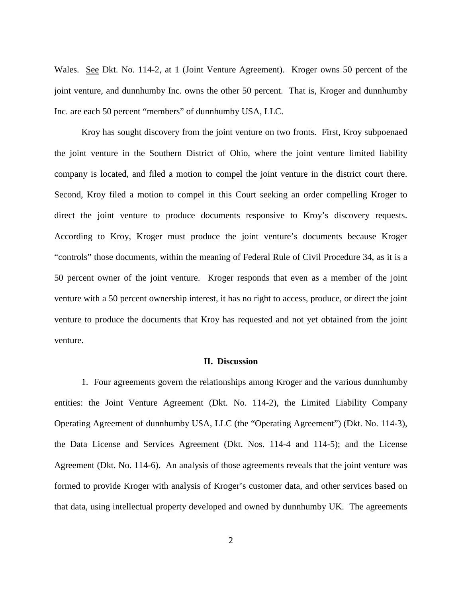Wales. See Dkt. No. 114-2, at 1 (Joint Venture Agreement). Kroger owns 50 percent of the joint venture, and dunnhumby Inc. owns the other 50 percent. That is, Kroger and dunnhumby Inc. are each 50 percent "members" of dunnhumby USA, LLC.

Kroy has sought discovery from the joint venture on two fronts. First, Kroy subpoenaed the joint venture in the Southern District of Ohio, where the joint venture limited liability company is located, and filed a motion to compel the joint venture in the district court there. Second, Kroy filed a motion to compel in this Court seeking an order compelling Kroger to direct the joint venture to produce documents responsive to Kroy's discovery requests. According to Kroy, Kroger must produce the joint venture's documents because Kroger "controls" those documents, within the meaning of Federal Rule of Civil Procedure 34, as it is a 50 percent owner of the joint venture. Kroger responds that even as a member of the joint venture with a 50 percent ownership interest, it has no right to access, produce, or direct the joint venture to produce the documents that Kroy has requested and not yet obtained from the joint venture.

## **II. Discussion**

1. Four agreements govern the relationships among Kroger and the various dunnhumby entities: the Joint Venture Agreement (Dkt. No. 114-2), the Limited Liability Company Operating Agreement of dunnhumby USA, LLC (the "Operating Agreement") (Dkt. No. 114-3), the Data License and Services Agreement (Dkt. Nos. 114-4 and 114-5); and the License Agreement (Dkt. No. 114-6). An analysis of those agreements reveals that the joint venture was formed to provide Kroger with analysis of Kroger's customer data, and other services based on that data, using intellectual property developed and owned by dunnhumby UK. The agreements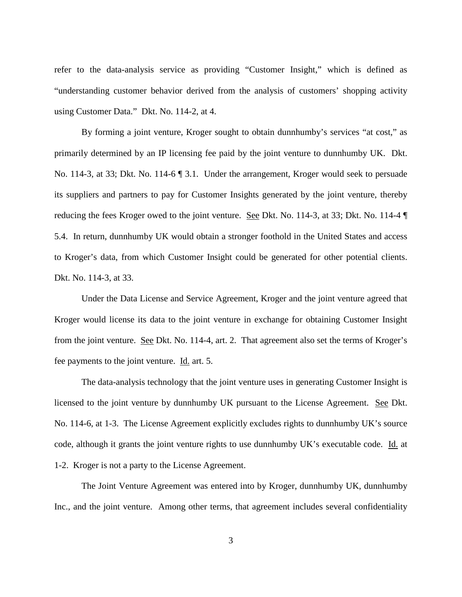refer to the data-analysis service as providing "Customer Insight," which is defined as "understanding customer behavior derived from the analysis of customers' shopping activity using Customer Data." Dkt. No. 114-2, at 4.

By forming a joint venture, Kroger sought to obtain dunnhumby's services "at cost," as primarily determined by an IP licensing fee paid by the joint venture to dunnhumby UK. Dkt. No. 114-3, at 33; Dkt. No. 114-6 ¶ 3.1. Under the arrangement, Kroger would seek to persuade its suppliers and partners to pay for Customer Insights generated by the joint venture, thereby reducing the fees Kroger owed to the joint venture. See Dkt. No. 114-3, at 33; Dkt. No. 114-4 ¶ 5.4. In return, dunnhumby UK would obtain a stronger foothold in the United States and access to Kroger's data, from which Customer Insight could be generated for other potential clients. Dkt. No. 114-3, at 33.

Under the Data License and Service Agreement, Kroger and the joint venture agreed that Kroger would license its data to the joint venture in exchange for obtaining Customer Insight from the joint venture. See Dkt. No. 114-4, art. 2. That agreement also set the terms of Kroger's fee payments to the joint venture. Id. art. 5.

The data-analysis technology that the joint venture uses in generating Customer Insight is licensed to the joint venture by dunnhumby UK pursuant to the License Agreement. See Dkt. No. 114-6, at 1-3. The License Agreement explicitly excludes rights to dunnhumby UK's source code, although it grants the joint venture rights to use dunnhumby UK's executable code. Id. at 1-2. Kroger is not a party to the License Agreement.

The Joint Venture Agreement was entered into by Kroger, dunnhumby UK, dunnhumby Inc., and the joint venture. Among other terms, that agreement includes several confidentiality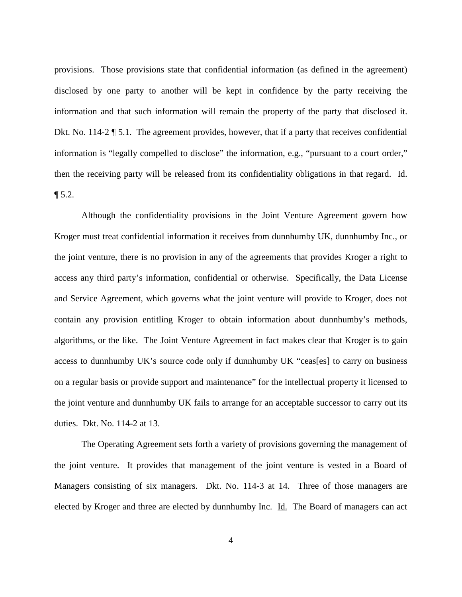provisions. Those provisions state that confidential information (as defined in the agreement) disclosed by one party to another will be kept in confidence by the party receiving the information and that such information will remain the property of the party that disclosed it. Dkt. No. 114-2  $\sqrt{ }$  5.1. The agreement provides, however, that if a party that receives confidential information is "legally compelled to disclose" the information, e.g., "pursuant to a court order," then the receiving party will be released from its confidentiality obligations in that regard. Id.  $\P 5.2.$ 

Although the confidentiality provisions in the Joint Venture Agreement govern how Kroger must treat confidential information it receives from dunnhumby UK, dunnhumby Inc., or the joint venture, there is no provision in any of the agreements that provides Kroger a right to access any third party's information, confidential or otherwise. Specifically, the Data License and Service Agreement, which governs what the joint venture will provide to Kroger, does not contain any provision entitling Kroger to obtain information about dunnhumby's methods, algorithms, or the like. The Joint Venture Agreement in fact makes clear that Kroger is to gain access to dunnhumby UK's source code only if dunnhumby UK "ceas[es] to carry on business on a regular basis or provide support and maintenance" for the intellectual property it licensed to the joint venture and dunnhumby UK fails to arrange for an acceptable successor to carry out its duties. Dkt. No. 114-2 at 13.

The Operating Agreement sets forth a variety of provisions governing the management of the joint venture. It provides that management of the joint venture is vested in a Board of Managers consisting of six managers. Dkt. No. 114-3 at 14. Three of those managers are elected by Kroger and three are elected by dunnhumby Inc. Id. The Board of managers can act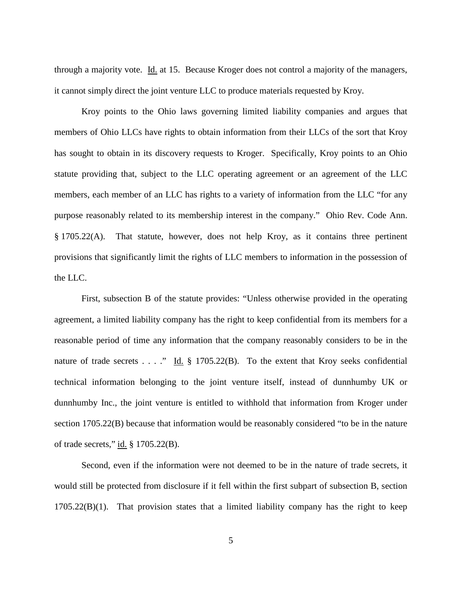through a majority vote. Id. at 15. Because Kroger does not control a majority of the managers, it cannot simply direct the joint venture LLC to produce materials requested by Kroy.

Kroy points to the Ohio laws governing limited liability companies and argues that members of Ohio LLCs have rights to obtain information from their LLCs of the sort that Kroy has sought to obtain in its discovery requests to Kroger. Specifically, Kroy points to an Ohio statute providing that, subject to the LLC operating agreement or an agreement of the LLC members, each member of an LLC has rights to a variety of information from the LLC "for any purpose reasonably related to its membership interest in the company." Ohio Rev. Code Ann. § 1705.22(A). That statute, however, does not help Kroy, as it contains three pertinent provisions that significantly limit the rights of LLC members to information in the possession of the LLC.

First, subsection B of the statute provides: "Unless otherwise provided in the operating agreement, a limited liability company has the right to keep confidential from its members for a reasonable period of time any information that the company reasonably considers to be in the nature of trade secrets . . . ." Id.  $\S$  1705.22(B). To the extent that Kroy seeks confidential technical information belonging to the joint venture itself, instead of dunnhumby UK or dunnhumby Inc., the joint venture is entitled to withhold that information from Kroger under section 1705.22(B) because that information would be reasonably considered "to be in the nature of trade secrets," id. § 1705.22(B).

Second, even if the information were not deemed to be in the nature of trade secrets, it would still be protected from disclosure if it fell within the first subpart of subsection B, section  $1705.22(B)(1)$ . That provision states that a limited liability company has the right to keep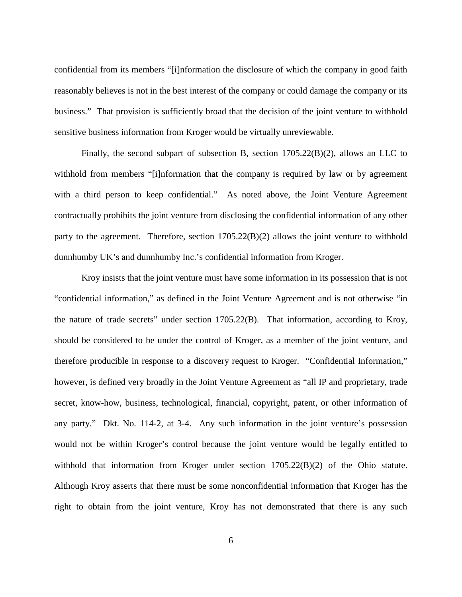confidential from its members "[i]nformation the disclosure of which the company in good faith reasonably believes is not in the best interest of the company or could damage the company or its business." That provision is sufficiently broad that the decision of the joint venture to withhold sensitive business information from Kroger would be virtually unreviewable.

Finally, the second subpart of subsection B, section 1705.22(B)(2), allows an LLC to withhold from members "[i]nformation that the company is required by law or by agreement with a third person to keep confidential." As noted above, the Joint Venture Agreement contractually prohibits the joint venture from disclosing the confidential information of any other party to the agreement. Therefore, section 1705.22(B)(2) allows the joint venture to withhold dunnhumby UK's and dunnhumby Inc.'s confidential information from Kroger.

Kroy insists that the joint venture must have some information in its possession that is not "confidential information," as defined in the Joint Venture Agreement and is not otherwise "in the nature of trade secrets" under section 1705.22(B). That information, according to Kroy, should be considered to be under the control of Kroger, as a member of the joint venture, and therefore producible in response to a discovery request to Kroger. "Confidential Information," however, is defined very broadly in the Joint Venture Agreement as "all IP and proprietary, trade secret, know-how, business, technological, financial, copyright, patent, or other information of any party." Dkt. No. 114-2, at 3-4. Any such information in the joint venture's possession would not be within Kroger's control because the joint venture would be legally entitled to withhold that information from Kroger under section 1705.22(B)(2) of the Ohio statute. Although Kroy asserts that there must be some nonconfidential information that Kroger has the right to obtain from the joint venture, Kroy has not demonstrated that there is any such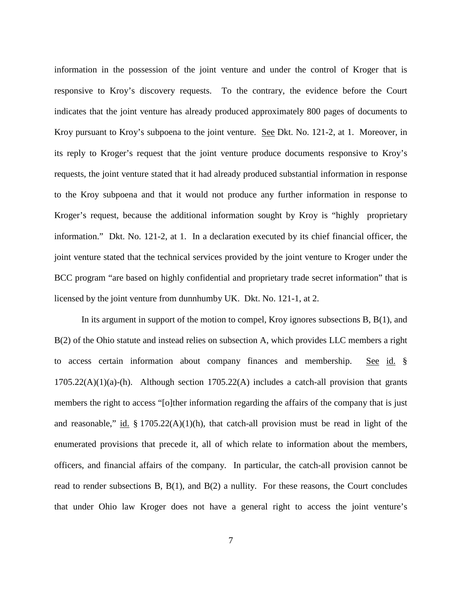information in the possession of the joint venture and under the control of Kroger that is responsive to Kroy's discovery requests. To the contrary, the evidence before the Court indicates that the joint venture has already produced approximately 800 pages of documents to Kroy pursuant to Kroy's subpoena to the joint venture. See Dkt. No. 121-2, at 1. Moreover, in its reply to Kroger's request that the joint venture produce documents responsive to Kroy's requests, the joint venture stated that it had already produced substantial information in response to the Kroy subpoena and that it would not produce any further information in response to Kroger's request, because the additional information sought by Kroy is "highly proprietary information." Dkt. No. 121-2, at 1. In a declaration executed by its chief financial officer, the joint venture stated that the technical services provided by the joint venture to Kroger under the BCC program "are based on highly confidential and proprietary trade secret information" that is licensed by the joint venture from dunnhumby UK. Dkt. No. 121-1, at 2.

In its argument in support of the motion to compel, Kroy ignores subsections B, B(1), and B(2) of the Ohio statute and instead relies on subsection A, which provides LLC members a right to access certain information about company finances and membership. See id. §  $1705.22(A)(1)(a)$ -(h). Although section  $1705.22(A)$  includes a catch-all provision that grants members the right to access "[o]ther information regarding the affairs of the company that is just and reasonable," id.  $\S 1705.22(A)(1)(h)$ , that catch-all provision must be read in light of the enumerated provisions that precede it, all of which relate to information about the members, officers, and financial affairs of the company. In particular, the catch-all provision cannot be read to render subsections B,  $B(1)$ , and  $B(2)$  a nullity. For these reasons, the Court concludes that under Ohio law Kroger does not have a general right to access the joint venture's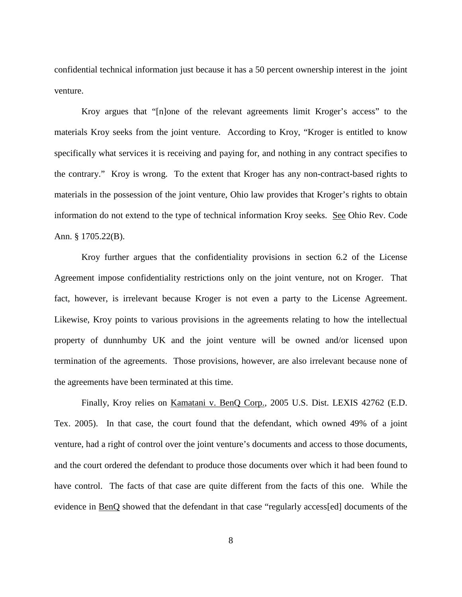confidential technical information just because it has a 50 percent ownership interest in the joint venture.

Kroy argues that "[n]one of the relevant agreements limit Kroger's access" to the materials Kroy seeks from the joint venture. According to Kroy, "Kroger is entitled to know specifically what services it is receiving and paying for, and nothing in any contract specifies to the contrary." Kroy is wrong. To the extent that Kroger has any non-contract-based rights to materials in the possession of the joint venture, Ohio law provides that Kroger's rights to obtain information do not extend to the type of technical information Kroy seeks. See Ohio Rev. Code Ann. § 1705.22(B).

Kroy further argues that the confidentiality provisions in section 6.2 of the License Agreement impose confidentiality restrictions only on the joint venture, not on Kroger. That fact, however, is irrelevant because Kroger is not even a party to the License Agreement. Likewise, Kroy points to various provisions in the agreements relating to how the intellectual property of dunnhumby UK and the joint venture will be owned and/or licensed upon termination of the agreements. Those provisions, however, are also irrelevant because none of the agreements have been terminated at this time.

Finally, Kroy relies on Kamatani v. BenQ Corp., 2005 U.S. Dist. LEXIS 42762 (E.D. Tex. 2005). In that case, the court found that the defendant, which owned 49% of a joint venture, had a right of control over the joint venture's documents and access to those documents, and the court ordered the defendant to produce those documents over which it had been found to have control. The facts of that case are quite different from the facts of this one. While the evidence in BenQ showed that the defendant in that case "regularly access[ed] documents of the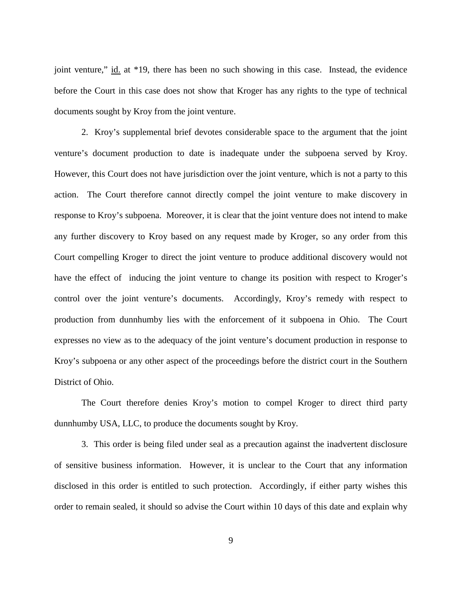joint venture," id. at \*19, there has been no such showing in this case. Instead, the evidence before the Court in this case does not show that Kroger has any rights to the type of technical documents sought by Kroy from the joint venture.

2. Kroy's supplemental brief devotes considerable space to the argument that the joint venture's document production to date is inadequate under the subpoena served by Kroy. However, this Court does not have jurisdiction over the joint venture, which is not a party to this action. The Court therefore cannot directly compel the joint venture to make discovery in response to Kroy's subpoena. Moreover, it is clear that the joint venture does not intend to make any further discovery to Kroy based on any request made by Kroger, so any order from this Court compelling Kroger to direct the joint venture to produce additional discovery would not have the effect of inducing the joint venture to change its position with respect to Kroger's control over the joint venture's documents. Accordingly, Kroy's remedy with respect to production from dunnhumby lies with the enforcement of it subpoena in Ohio. The Court expresses no view as to the adequacy of the joint venture's document production in response to Kroy's subpoena or any other aspect of the proceedings before the district court in the Southern District of Ohio.

The Court therefore denies Kroy's motion to compel Kroger to direct third party dunnhumby USA, LLC, to produce the documents sought by Kroy.

3. This order is being filed under seal as a precaution against the inadvertent disclosure of sensitive business information. However, it is unclear to the Court that any information disclosed in this order is entitled to such protection. Accordingly, if either party wishes this order to remain sealed, it should so advise the Court within 10 days of this date and explain why